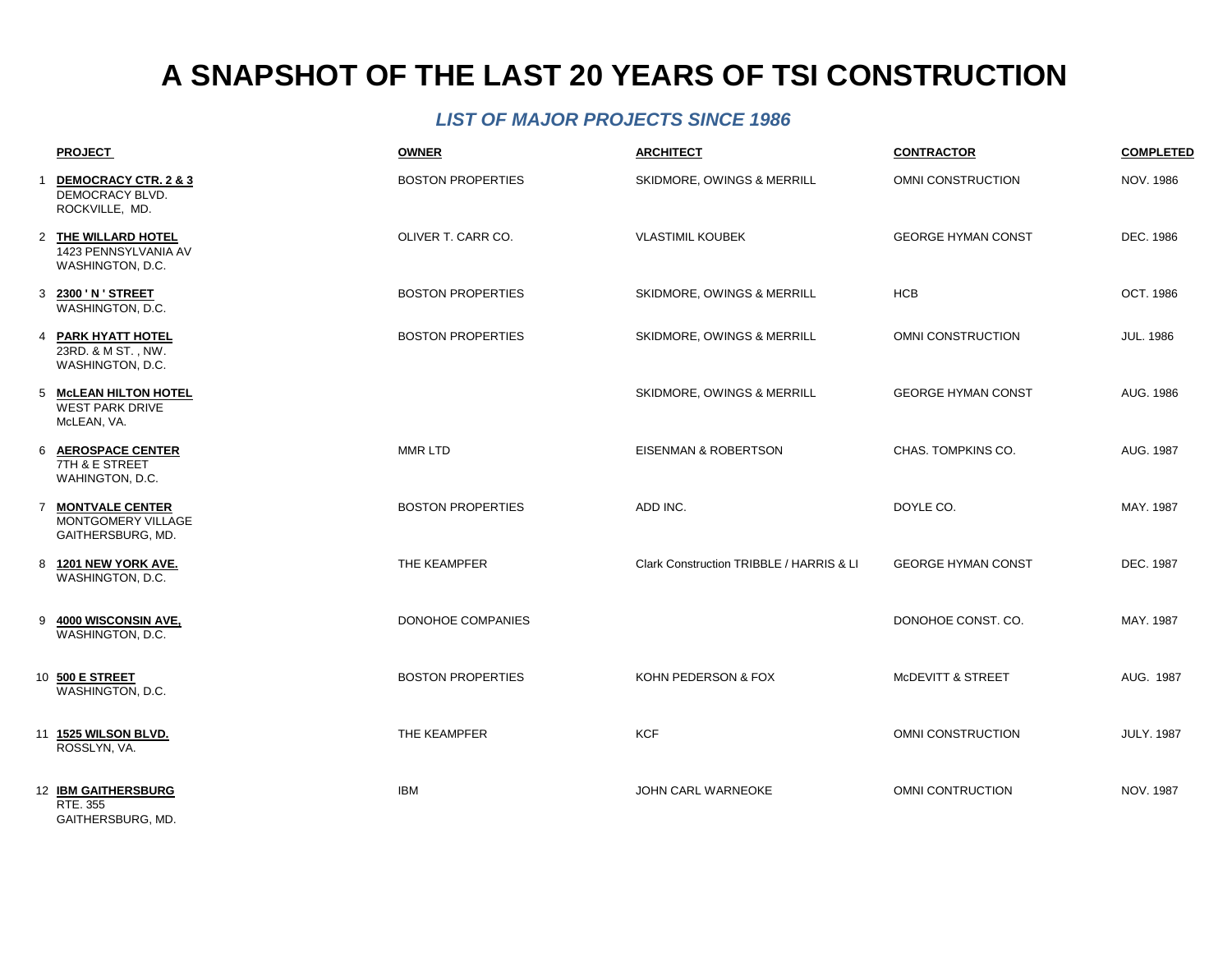### *LIST OF MAJOR PROJECTS SINCE 1986*

|              | <b>PROJECT</b>                                                  | <b>OWNER</b>             | <b>ARCHITECT</b>                         | <b>CONTRACTOR</b>            | <b>COMPLETED</b>  |
|--------------|-----------------------------------------------------------------|--------------------------|------------------------------------------|------------------------------|-------------------|
| $\mathbf{1}$ | DEMOCRACY CTR. 2 & 3<br>DEMOCRACY BLVD.<br>ROCKVILLE, MD.       | <b>BOSTON PROPERTIES</b> | SKIDMORE, OWINGS & MERRILL               | OMNI CONSTRUCTION            | <b>NOV. 1986</b>  |
|              | 2 THE WILLARD HOTEL<br>1423 PENNSYLVANIA AV<br>WASHINGTON, D.C. | OLIVER T. CARR CO.       | <b>VLASTIMIL KOUBEK</b>                  | <b>GEORGE HYMAN CONST</b>    | DEC. 1986         |
|              | 3 2300 'N' STREET<br>WASHINGTON, D.C.                           | <b>BOSTON PROPERTIES</b> | <b>SKIDMORE, OWINGS &amp; MERRILL</b>    | <b>HCB</b>                   | OCT. 1986         |
|              | 4 PARK HYATT HOTEL<br>23RD. & M ST., NW.<br>WASHINGTON, D.C.    | <b>BOSTON PROPERTIES</b> | <b>SKIDMORE, OWINGS &amp; MERRILL</b>    | OMNI CONSTRUCTION            | <b>JUL. 1986</b>  |
|              | 5 McLEAN HILTON HOTEL<br><b>WEST PARK DRIVE</b><br>McLEAN, VA.  |                          | <b>SKIDMORE, OWINGS &amp; MERRILL</b>    | <b>GEORGE HYMAN CONST</b>    | AUG. 1986         |
|              | 6 AEROSPACE CENTER<br>7TH & E STREET<br>WAHINGTON, D.C.         | MMR LTD                  | EISENMAN & ROBERTSON                     | CHAS. TOMPKINS CO.           | AUG. 1987         |
|              | 7 MONTVALE CENTER<br>MONTGOMERY VILLAGE<br>GAITHERSBURG, MD.    | <b>BOSTON PROPERTIES</b> | ADD INC.                                 | DOYLE CO.                    | MAY. 1987         |
|              | 8 1201 NEW YORK AVE.<br>WASHINGTON, D.C.                        | THE KEAMPFER             | Clark Construction TRIBBLE / HARRIS & LI | <b>GEORGE HYMAN CONST</b>    | DEC. 1987         |
| 9            | <b>4000 WISCONSIN AVE.</b><br>WASHINGTON, D.C.                  | DONOHOE COMPANIES        |                                          | DONOHOE CONST. CO.           | MAY. 1987         |
|              | 10 500 E STREET<br>WASHINGTON, D.C.                             | <b>BOSTON PROPERTIES</b> | KOHN PEDERSON & FOX                      | <b>MCDEVITT &amp; STREET</b> | AUG. 1987         |
|              | 11 1525 WILSON BLVD.<br>ROSSLYN, VA.                            | THE KEAMPFER             | <b>KCF</b>                               | OMNI CONSTRUCTION            | <b>JULY. 1987</b> |
|              | 12 IBM GAITHERSBURG<br>RTE. 355                                 | <b>IBM</b>               | <b>JOHN CARL WARNEOKE</b>                | OMNI CONTRUCTION             | NOV. 1987         |

GAITHERSBURG, MD.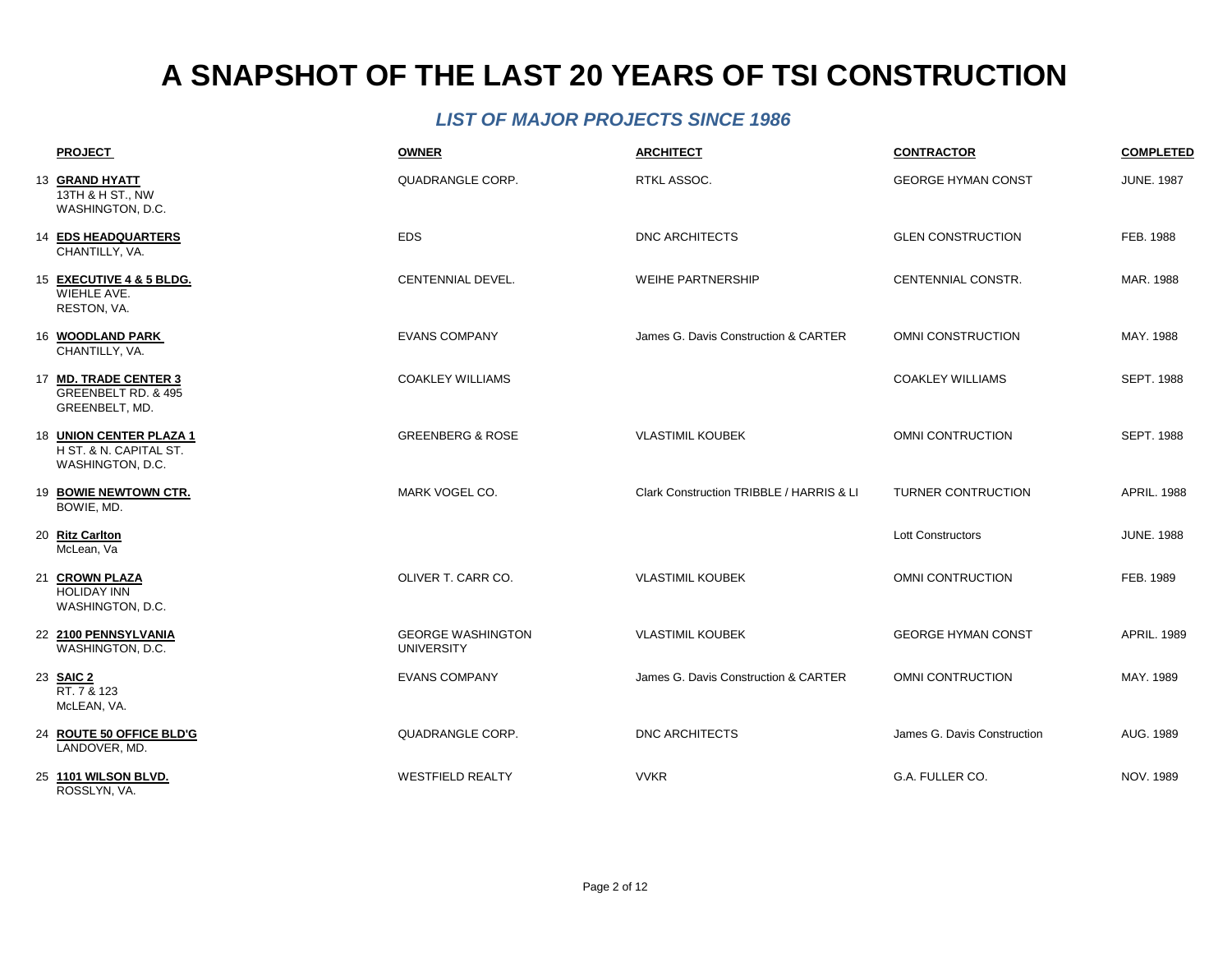| <b>PROJECT</b>                                                        | <b>OWNER</b>                                  | <b>ARCHITECT</b>                         | <b>CONTRACTOR</b>           | <b>COMPLETED</b>   |
|-----------------------------------------------------------------------|-----------------------------------------------|------------------------------------------|-----------------------------|--------------------|
| 13 GRAND HYATT<br>13TH & H ST., NW<br>WASHINGTON, D.C.                | QUADRANGLE CORP.                              | RTKL ASSOC.                              | <b>GEORGE HYMAN CONST</b>   | <b>JUNE. 1987</b>  |
| 14 EDS HEADQUARTERS<br>CHANTILLY, VA.                                 | <b>EDS</b>                                    | <b>DNC ARCHITECTS</b>                    | <b>GLEN CONSTRUCTION</b>    | FEB. 1988          |
| 15 EXECUTIVE 4 & 5 BLDG.<br>WIEHLE AVE.<br>RESTON, VA.                | CENTENNIAL DEVEL.                             | <b>WEIHE PARTNERSHIP</b>                 | CENTENNIAL CONSTR.          | MAR. 1988          |
| 16 WOODLAND PARK<br>CHANTILLY, VA.                                    | <b>EVANS COMPANY</b>                          | James G. Davis Construction & CARTER     | OMNI CONSTRUCTION           | MAY, 1988          |
| 17 MD. TRADE CENTER 3<br>GREENBELT RD. & 495<br>GREENBELT, MD.        | <b>COAKLEY WILLIAMS</b>                       |                                          | <b>COAKLEY WILLIAMS</b>     | <b>SEPT. 1988</b>  |
| 18 UNION CENTER PLAZA 1<br>H ST. & N. CAPITAL ST.<br>WASHINGTON, D.C. | <b>GREENBERG &amp; ROSE</b>                   | <b>VLASTIMIL KOUBEK</b>                  | OMNI CONTRUCTION            | <b>SEPT. 1988</b>  |
| 19 BOWIE NEWTOWN CTR.<br>BOWIE, MD.                                   | MARK VOGEL CO.                                | Clark Construction TRIBBLE / HARRIS & LI | <b>TURNER CONTRUCTION</b>   | <b>APRIL. 1988</b> |
| 20 Ritz Carlton<br>McLean, Va                                         |                                               |                                          | <b>Lott Constructors</b>    | <b>JUNE. 1988</b>  |
| 21 CROWN PLAZA<br><b>HOLIDAY INN</b><br>WASHINGTON, D.C.              | OLIVER T. CARR CO.                            | <b>VLASTIMIL KOUBEK</b>                  | OMNI CONTRUCTION            | FEB. 1989          |
| 22 2100 PENNSYLVANIA<br>WASHINGTON, D.C.                              | <b>GEORGE WASHINGTON</b><br><b>UNIVERSITY</b> | <b>VLASTIMIL KOUBEK</b>                  | <b>GEORGE HYMAN CONST</b>   | <b>APRIL. 1989</b> |
| 23 SAIC 2<br>RT. 7 & 123<br>McLEAN, VA.                               | <b>EVANS COMPANY</b>                          | James G. Davis Construction & CARTER     | OMNI CONTRUCTION            | MAY, 1989          |
| 24 ROUTE 50 OFFICE BLD'G<br>LANDOVER, MD.                             | QUADRANGLE CORP.                              | <b>DNC ARCHITECTS</b>                    | James G. Davis Construction | AUG. 1989          |
| 25 1101 WILSON BLVD.<br>ROSSLYN, VA.                                  | <b>WESTFIELD REALTY</b>                       | <b>VVKR</b>                              | G.A. FULLER CO.             | NOV. 1989          |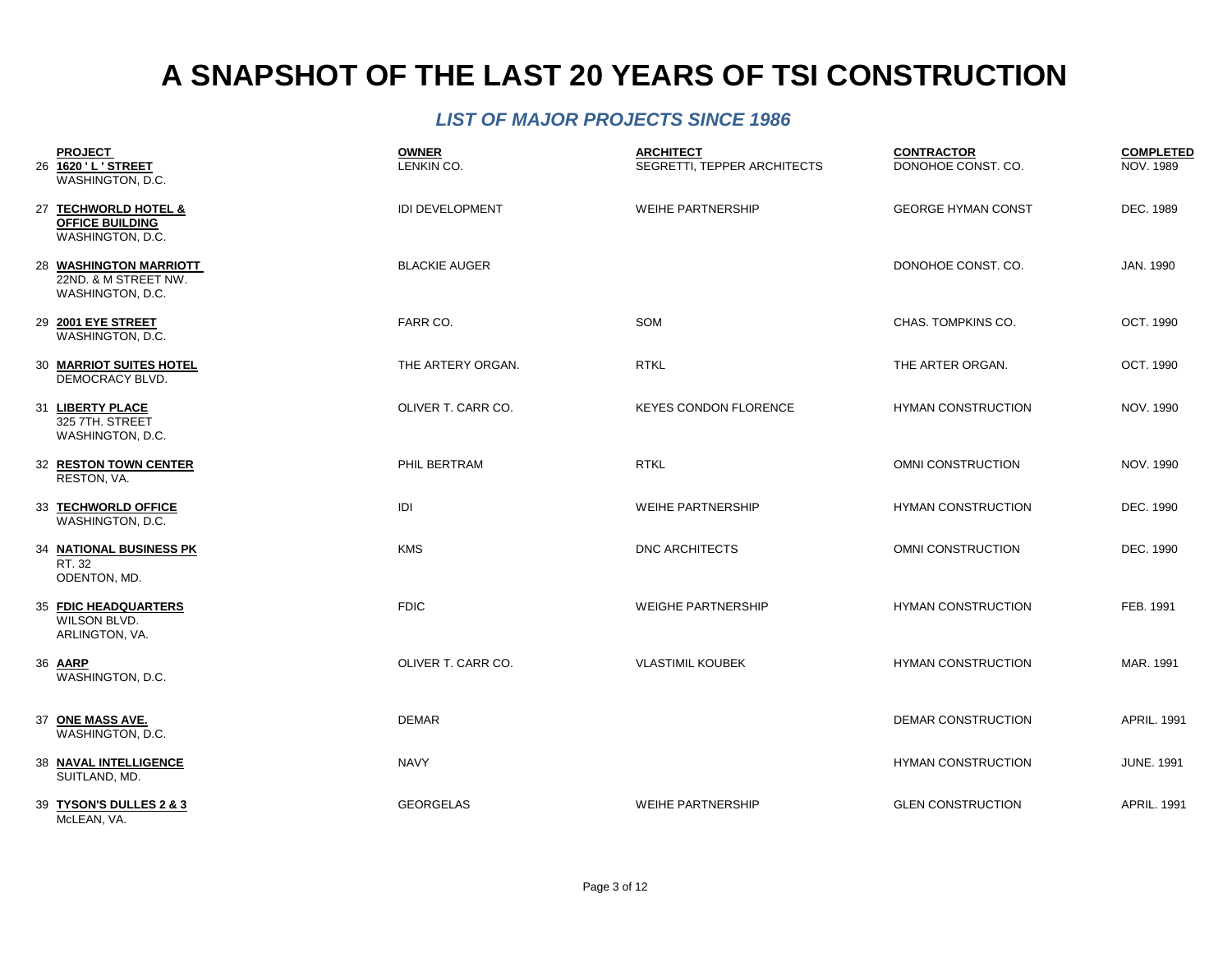| <b>PROJECT</b><br>26 1620 'L'STREET<br>WASHINGTON, D.C.            | <b>OWNER</b><br>LENKIN CO. | <b>ARCHITECT</b><br>SEGRETTI, TEPPER ARCHITECTS | <b>CONTRACTOR</b><br>DONOHOE CONST. CO. | <b>COMPLETED</b><br><b>NOV. 1989</b> |
|--------------------------------------------------------------------|----------------------------|-------------------------------------------------|-----------------------------------------|--------------------------------------|
| 27 TECHWORLD HOTEL &<br><b>OFFICE BUILDING</b><br>WASHINGTON, D.C. | <b>IDI DEVELOPMENT</b>     | <b>WEIHE PARTNERSHIP</b>                        | <b>GEORGE HYMAN CONST</b>               | DEC. 1989                            |
| 28 WASHINGTON MARRIOTT<br>22ND, & M STREET NW.<br>WASHINGTON, D.C. | <b>BLACKIE AUGER</b>       |                                                 | DONOHOE CONST. CO.                      | JAN. 1990                            |
| 29 2001 EYE STREET<br>WASHINGTON, D.C.                             | FARR CO.                   | <b>SOM</b>                                      | CHAS. TOMPKINS CO.                      | OCT. 1990                            |
| 30 MARRIOT SUITES HOTEL<br>DEMOCRACY BLVD.                         | THE ARTERY ORGAN.          | <b>RTKL</b>                                     | THE ARTER ORGAN.                        | OCT. 1990                            |
| 31 LIBERTY PLACE<br>325 7TH. STREET<br>WASHINGTON, D.C.            | OLIVER T. CARR CO.         | <b>KEYES CONDON FLORENCE</b>                    | <b>HYMAN CONSTRUCTION</b>               | NOV. 1990                            |
| 32 RESTON TOWN CENTER<br>RESTON, VA.                               | PHIL BERTRAM               | <b>RTKL</b>                                     | <b>OMNI CONSTRUCTION</b>                | NOV. 1990                            |
| 33 TECHWORLD OFFICE<br>WASHINGTON, D.C.                            | IDI                        | <b>WEIHE PARTNERSHIP</b>                        | <b>HYMAN CONSTRUCTION</b>               | DEC. 1990                            |
| 34 NATIONAL BUSINESS PK<br>RT. 32<br>ODENTON, MD.                  | <b>KMS</b>                 | <b>DNC ARCHITECTS</b>                           | OMNI CONSTRUCTION                       | DEC. 1990                            |
| 35 FDIC HEADQUARTERS<br>WILSON BLVD.<br>ARLINGTON, VA.             | <b>FDIC</b>                | <b>WEIGHE PARTNERSHIP</b>                       | <b>HYMAN CONSTRUCTION</b>               | FEB. 1991                            |
| 36 AARP<br>WASHINGTON, D.C.                                        | OLIVER T. CARR CO.         | <b>VLASTIMIL KOUBEK</b>                         | <b>HYMAN CONSTRUCTION</b>               | MAR. 1991                            |
| 37 ONE MASS AVE.<br>WASHINGTON, D.C.                               | <b>DEMAR</b>               |                                                 | DEMAR CONSTRUCTION                      | <b>APRIL. 1991</b>                   |
| <b>38 NAVAL INTELLIGENCE</b><br>SUITLAND, MD.                      | <b>NAVY</b>                |                                                 | <b>HYMAN CONSTRUCTION</b>               | <b>JUNE. 1991</b>                    |
| 39 TYSON'S DULLES 2 & 3<br>McLEAN, VA.                             | <b>GEORGELAS</b>           | <b>WEIHE PARTNERSHIP</b>                        | <b>GLEN CONSTRUCTION</b>                | <b>APRIL. 1991</b>                   |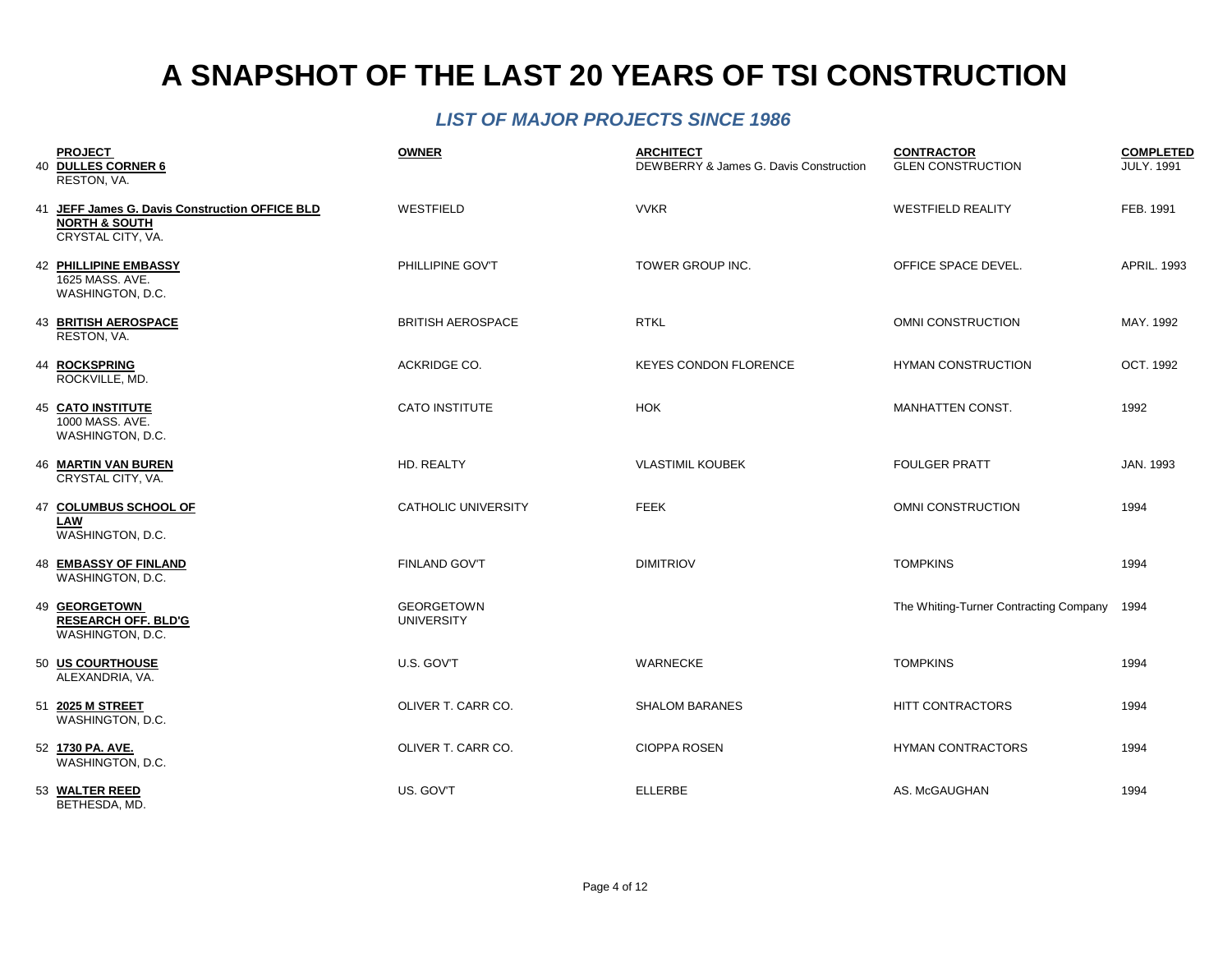| <b>PROJECT</b><br>40 DULLES CORNER 6<br>RESTON, VA.                                             | <b>OWNER</b>                           | <b>ARCHITECT</b><br>DEWBERRY & James G. Davis Construction | <b>CONTRACTOR</b><br><b>GLEN CONSTRUCTION</b> | <b>COMPLETED</b><br><b>JULY. 1991</b> |
|-------------------------------------------------------------------------------------------------|----------------------------------------|------------------------------------------------------------|-----------------------------------------------|---------------------------------------|
| 41 JEFF James G. Davis Construction OFFICE BLD<br><b>NORTH &amp; SOUTH</b><br>CRYSTAL CITY, VA. | WESTFIELD                              | <b>VVKR</b>                                                | <b>WESTFIELD REALITY</b>                      | FEB. 1991                             |
| 42 PHILLIPINE EMBASSY<br>1625 MASS, AVE.<br>WASHINGTON, D.C.                                    | PHILLIPINE GOV'T                       | TOWER GROUP INC.                                           | OFFICE SPACE DEVEL.                           | <b>APRIL, 1993</b>                    |
| <b>43 BRITISH AEROSPACE</b><br>RESTON, VA.                                                      | <b>BRITISH AEROSPACE</b>               | <b>RTKL</b>                                                | <b>OMNI CONSTRUCTION</b>                      | MAY, 1992                             |
| 44 ROCKSPRING<br>ROCKVILLE, MD.                                                                 | ACKRIDGE CO.                           | <b>KEYES CONDON FLORENCE</b>                               | <b>HYMAN CONSTRUCTION</b>                     | OCT. 1992                             |
| <b>45 CATO INSTITUTE</b><br>1000 MASS, AVE.<br>WASHINGTON, D.C.                                 | CATO INSTITUTE                         | <b>HOK</b>                                                 | MANHATTEN CONST.                              | 1992                                  |
| <b>46 MARTIN VAN BUREN</b><br>CRYSTAL CITY, VA.                                                 | HD. REALTY                             | <b>VLASTIMIL KOUBEK</b>                                    | <b>FOULGER PRATT</b>                          | JAN. 1993                             |
| 47 COLUMBUS SCHOOL OF<br>LAW<br>WASHINGTON, D.C.                                                | <b>CATHOLIC UNIVERSITY</b>             | <b>FEEK</b>                                                | OMNI CONSTRUCTION                             | 1994                                  |
| <b>48 EMBASSY OF FINLAND</b><br>WASHINGTON, D.C.                                                | <b>FINLAND GOV'T</b>                   | <b>DIMITRIOV</b>                                           | <b>TOMPKINS</b>                               | 1994                                  |
| 49 GEORGETOWN<br><b>RESEARCH OFF. BLD'G</b><br>WASHINGTON, D.C.                                 | <b>GEORGETOWN</b><br><b>UNIVERSITY</b> |                                                            | The Whiting-Turner Contracting Company        | 1994                                  |
| 50 US COURTHOUSE<br>ALEXANDRIA, VA.                                                             | U.S. GOV'T                             | <b>WARNECKE</b>                                            | <b>TOMPKINS</b>                               | 1994                                  |
| 51 2025 M STREET<br>WASHINGTON, D.C.                                                            | OLIVER T. CARR CO.                     | <b>SHALOM BARANES</b>                                      | <b>HITT CONTRACTORS</b>                       | 1994                                  |
| 52 1730 PA. AVE.<br>WASHINGTON, D.C.                                                            | OLIVER T. CARR CO.                     | <b>CIOPPA ROSEN</b>                                        | <b>HYMAN CONTRACTORS</b>                      | 1994                                  |
| 53 WALTER REED<br>BETHESDA, MD.                                                                 | US. GOV'T                              | <b>ELLERBE</b>                                             | AS. McGAUGHAN                                 | 1994                                  |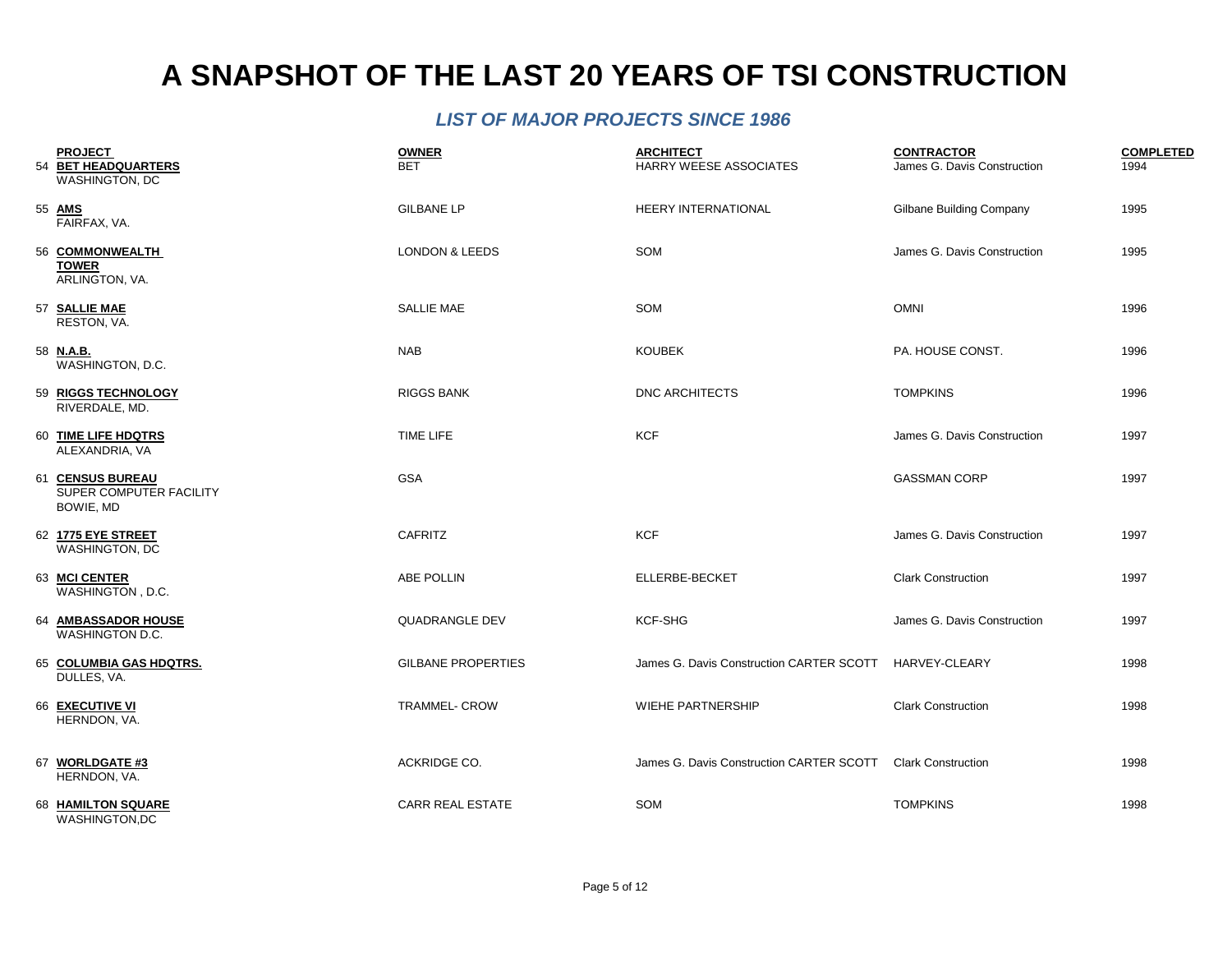| <b>PROJECT</b><br>54 BET HEADQUARTERS<br>WASHINGTON, DC  | <b>OWNER</b><br><b>BET</b> | <b>ARCHITECT</b><br><b>HARRY WEESE ASSOCIATES</b> | <b>CONTRACTOR</b><br>James G. Davis Construction | <b>COMPLETED</b><br>1994 |
|----------------------------------------------------------|----------------------------|---------------------------------------------------|--------------------------------------------------|--------------------------|
| 55 AMS<br>FAIRFAX, VA.                                   | <b>GILBANE LP</b>          | HEERY INTERNATIONAL                               | <b>Gilbane Building Company</b>                  | 1995                     |
| 56 COMMONWEALTH<br><b>TOWER</b><br>ARLINGTON, VA.        | <b>LONDON &amp; LEEDS</b>  | SOM                                               | James G. Davis Construction                      | 1995                     |
| 57 SALLIE MAE<br>RESTON, VA.                             | <b>SALLIE MAE</b>          | SOM                                               | <b>OMNI</b>                                      | 1996                     |
| 58 N.A.B.<br>WASHINGTON, D.C.                            | <b>NAB</b>                 | <b>KOUBEK</b>                                     | PA. HOUSE CONST.                                 | 1996                     |
| 59 RIGGS TECHNOLOGY<br>RIVERDALE, MD.                    | <b>RIGGS BANK</b>          | <b>DNC ARCHITECTS</b>                             | <b>TOMPKINS</b>                                  | 1996                     |
| 60 TIME LIFE HDQTRS<br>ALEXANDRIA, VA                    | TIME LIFE                  | <b>KCF</b>                                        | James G. Davis Construction                      | 1997                     |
| 61 CENSUS BUREAU<br>SUPER COMPUTER FACILITY<br>BOWIE, MD | <b>GSA</b>                 |                                                   | <b>GASSMAN CORP</b>                              | 1997                     |
| 62 1775 EYE STREET<br>WASHINGTON, DC                     | CAFRITZ                    | <b>KCF</b>                                        | James G. Davis Construction                      | 1997                     |
| 63 MCI CENTER<br>WASHINGTON, D.C.                        | <b>ABE POLLIN</b>          | ELLERBE-BECKET                                    | <b>Clark Construction</b>                        | 1997                     |
| 64 AMBASSADOR HOUSE<br>WASHINGTON D.C.                   | <b>QUADRANGLE DEV</b>      | KCF-SHG                                           | James G. Davis Construction                      | 1997                     |
| 65 COLUMBIA GAS HDQTRS.<br>DULLES, VA.                   | <b>GILBANE PROPERTIES</b>  | James G. Davis Construction CARTER SCOTT          | HARVEY-CLEARY                                    | 1998                     |
| 66 EXECUTIVE VI<br>HERNDON, VA.                          | <b>TRAMMEL- CROW</b>       | <b>WIEHE PARTNERSHIP</b>                          | <b>Clark Construction</b>                        | 1998                     |
| 67 WORLDGATE #3<br>HERNDON, VA.                          | ACKRIDGE CO.               | James G. Davis Construction CARTER SCOTT          | <b>Clark Construction</b>                        | 1998                     |
| 68 HAMILTON SQUARE<br>WASHINGTON,DC                      | <b>CARR REAL ESTATE</b>    | SOM                                               | <b>TOMPKINS</b>                                  | 1998                     |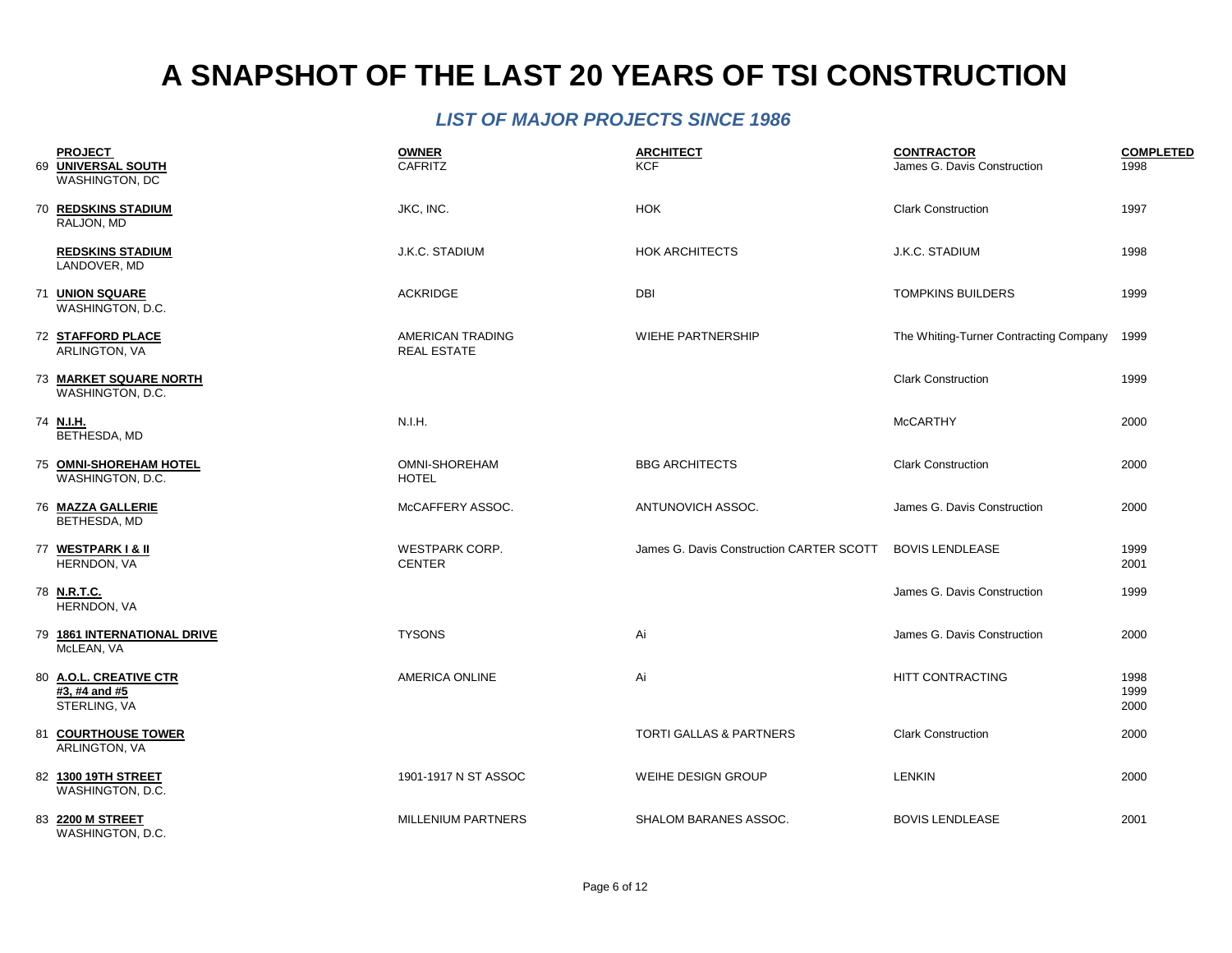| <b>PROJECT</b><br>69 UNIVERSAL SOUTH                    | <b>OWNER</b><br><b>CAFRITZ</b>         | <b>ARCHITECT</b><br><b>KCF</b>           | <b>CONTRACTOR</b><br>James G. Davis Construction | <b>COMPLETED</b><br>1998 |
|---------------------------------------------------------|----------------------------------------|------------------------------------------|--------------------------------------------------|--------------------------|
| WASHINGTON, DC                                          |                                        |                                          |                                                  |                          |
| <b>70 REDSKINS STADIUM</b><br>RALJON, MD                | JKC, INC.                              | <b>HOK</b>                               | <b>Clark Construction</b>                        | 1997                     |
| <b>REDSKINS STADIUM</b><br>LANDOVER, MD                 | J.K.C. STADIUM                         | <b>HOK ARCHITECTS</b>                    | J.K.C. STADIUM                                   | 1998                     |
| 71 UNION SQUARE<br>WASHINGTON, D.C.                     | <b>ACKRIDGE</b>                        | DBI                                      | <b>TOMPKINS BUILDERS</b>                         | 1999                     |
| 72 STAFFORD PLACE<br>ARLINGTON, VA                      | AMERICAN TRADING<br><b>REAL ESTATE</b> | <b>WIEHE PARTNERSHIP</b>                 | The Whiting-Turner Contracting Company           | 1999                     |
| 73 MARKET SQUARE NORTH<br>WASHINGTON, D.C.              |                                        |                                          | <b>Clark Construction</b>                        | 1999                     |
| 74 N.I.H.<br>BETHESDA, MD                               | N.I.H.                                 |                                          | <b>McCARTHY</b>                                  | 2000                     |
| 75 OMNI-SHOREHAM HOTEL<br>WASHINGTON, D.C.              | OMNI-SHOREHAM<br><b>HOTEL</b>          | <b>BBG ARCHITECTS</b>                    | <b>Clark Construction</b>                        | 2000                     |
| 76 MAZZA GALLERIE<br>BETHESDA, MD                       | McCAFFERY ASSOC.                       | ANTUNOVICH ASSOC.                        | James G. Davis Construction                      | 2000                     |
| 77 WESTPARK I & II<br>HERNDON, VA                       | <b>WESTPARK CORP.</b><br><b>CENTER</b> | James G. Davis Construction CARTER SCOTT | <b>BOVIS LENDLEASE</b>                           | 1999<br>2001             |
| 78 N.R.T.C.<br>HERNDON, VA                              |                                        |                                          | James G. Davis Construction                      | 1999                     |
| 79 1861 INTERNATIONAL DRIVE<br>McLEAN, VA               | <b>TYSONS</b>                          | Ai                                       | James G. Davis Construction                      | 2000                     |
| 80 A.O.L. CREATIVE CTR<br>#3, #4 and #5<br>STERLING, VA | AMERICA ONLINE                         | Ai                                       | HITT CONTRACTING                                 | 1998<br>1999<br>2000     |
| 81 COURTHOUSE TOWER<br>ARLINGTON, VA                    |                                        | TORTI GALLAS & PARTNERS                  | <b>Clark Construction</b>                        | 2000                     |
| 82 1300 19TH STREET<br>WASHINGTON, D.C.                 | 1901-1917 N ST ASSOC                   | <b>WEIHE DESIGN GROUP</b>                | <b>LENKIN</b>                                    | 2000                     |
| 83 2200 M STREET<br>WASHINGTON, D.C.                    | MILLENIUM PARTNERS                     | SHALOM BARANES ASSOC.                    | <b>BOVIS LENDLEASE</b>                           | 2001                     |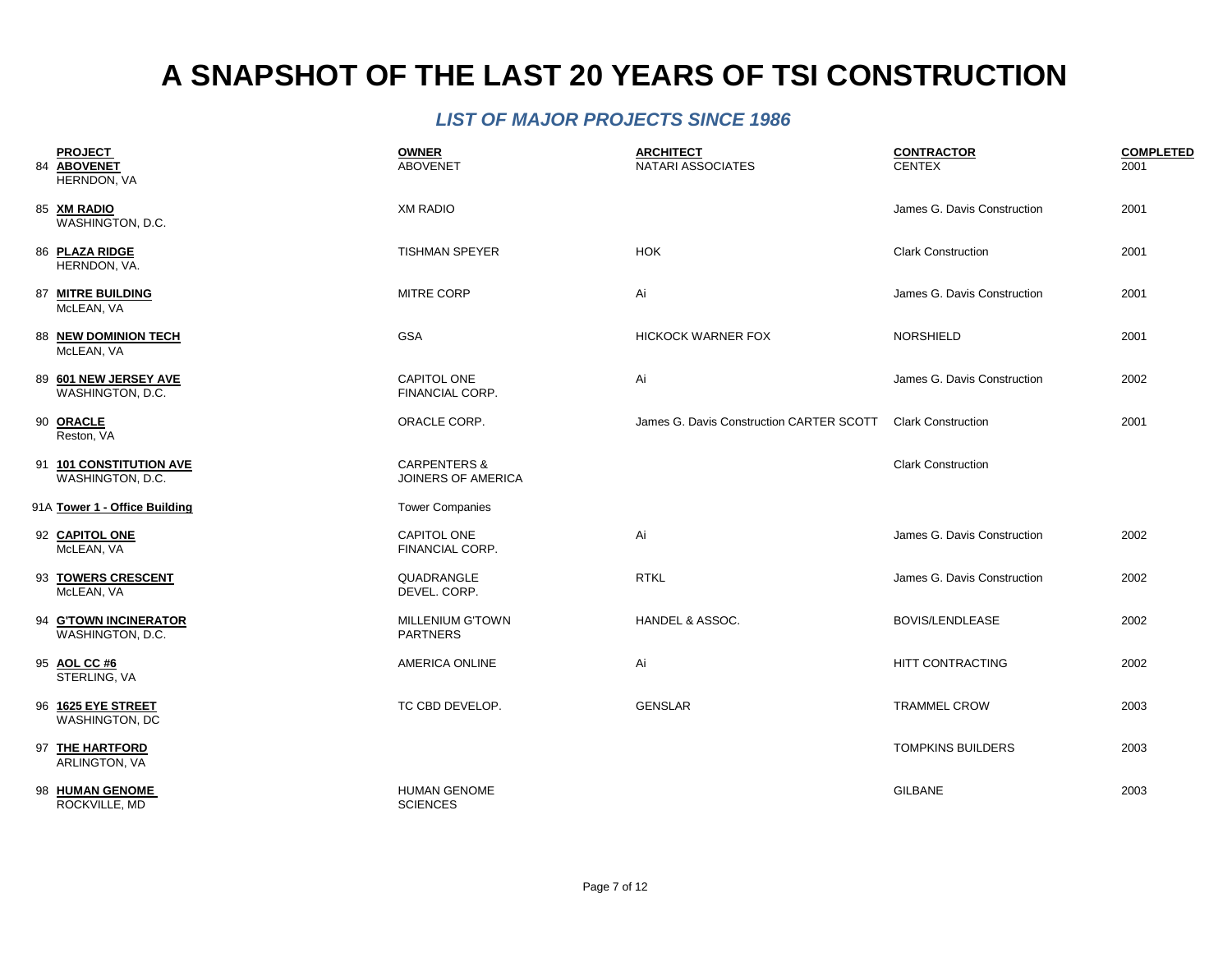| <b>PROJECT</b><br>84 ABOVENET<br><b>HERNDON, VA</b> | <b>OWNER</b><br><b>ABOVENET</b>               | <b>ARCHITECT</b><br><b>NATARI ASSOCIATES</b> | <b>CONTRACTOR</b><br><b>CENTEX</b> | <b>COMPLETED</b><br>2001 |
|-----------------------------------------------------|-----------------------------------------------|----------------------------------------------|------------------------------------|--------------------------|
| 85 XM RADIO<br>WASHINGTON, D.C.                     | <b>XM RADIO</b>                               |                                              | James G. Davis Construction        | 2001                     |
| 86 PLAZA RIDGE<br>HERNDON, VA.                      | <b>TISHMAN SPEYER</b>                         | <b>HOK</b>                                   | <b>Clark Construction</b>          | 2001                     |
| 87 MITRE BUILDING<br>McLEAN, VA                     | <b>MITRE CORP</b>                             | Ai                                           | James G. Davis Construction        | 2001                     |
| 88 NEW DOMINION TECH<br>McLEAN, VA                  | <b>GSA</b>                                    | <b>HICKOCK WARNER FOX</b>                    | <b>NORSHIELD</b>                   | 2001                     |
| 89 601 NEW JERSEY AVE<br>WASHINGTON, D.C.           | <b>CAPITOL ONE</b><br>FINANCIAL CORP.         | Ai                                           | James G. Davis Construction        | 2002                     |
| 90 ORACLE<br>Reston, VA                             | ORACLE CORP.                                  | James G. Davis Construction CARTER SCOTT     | <b>Clark Construction</b>          | 2001                     |
| 91 101 CONSTITUTION AVE<br>WASHINGTON, D.C.         | <b>CARPENTERS &amp;</b><br>JOINERS OF AMERICA |                                              | <b>Clark Construction</b>          |                          |
| 91A Tower 1 - Office Building                       | <b>Tower Companies</b>                        |                                              |                                    |                          |
| 92 CAPITOL ONE<br>McLEAN, VA                        | CAPITOL ONE<br>FINANCIAL CORP.                | Ai                                           | James G. Davis Construction        | 2002                     |
| 93 TOWERS CRESCENT<br>McLEAN, VA                    | QUADRANGLE<br>DEVEL. CORP.                    | <b>RTKL</b>                                  | James G. Davis Construction        | 2002                     |
| 94 G'TOWN INCINERATOR<br>WASHINGTON, D.C.           | <b>MILLENIUM G'TOWN</b><br><b>PARTNERS</b>    | HANDEL & ASSOC.                              | <b>BOVIS/LENDLEASE</b>             | 2002                     |
| 95 AOL CC #6<br>STERLING, VA                        | AMERICA ONLINE                                | Ai                                           | HITT CONTRACTING                   | 2002                     |
| 96 1625 EYE STREET<br>WASHINGTON, DC                | TC CBD DEVELOP.                               | <b>GENSLAR</b>                               | <b>TRAMMEL CROW</b>                | 2003                     |
| 97 THE HARTFORD<br>ARLINGTON, VA                    |                                               |                                              | <b>TOMPKINS BUILDERS</b>           | 2003                     |
| 98 HUMAN GENOME<br>ROCKVILLE, MD                    | <b>HUMAN GENOME</b><br><b>SCIENCES</b>        |                                              | <b>GILBANE</b>                     | 2003                     |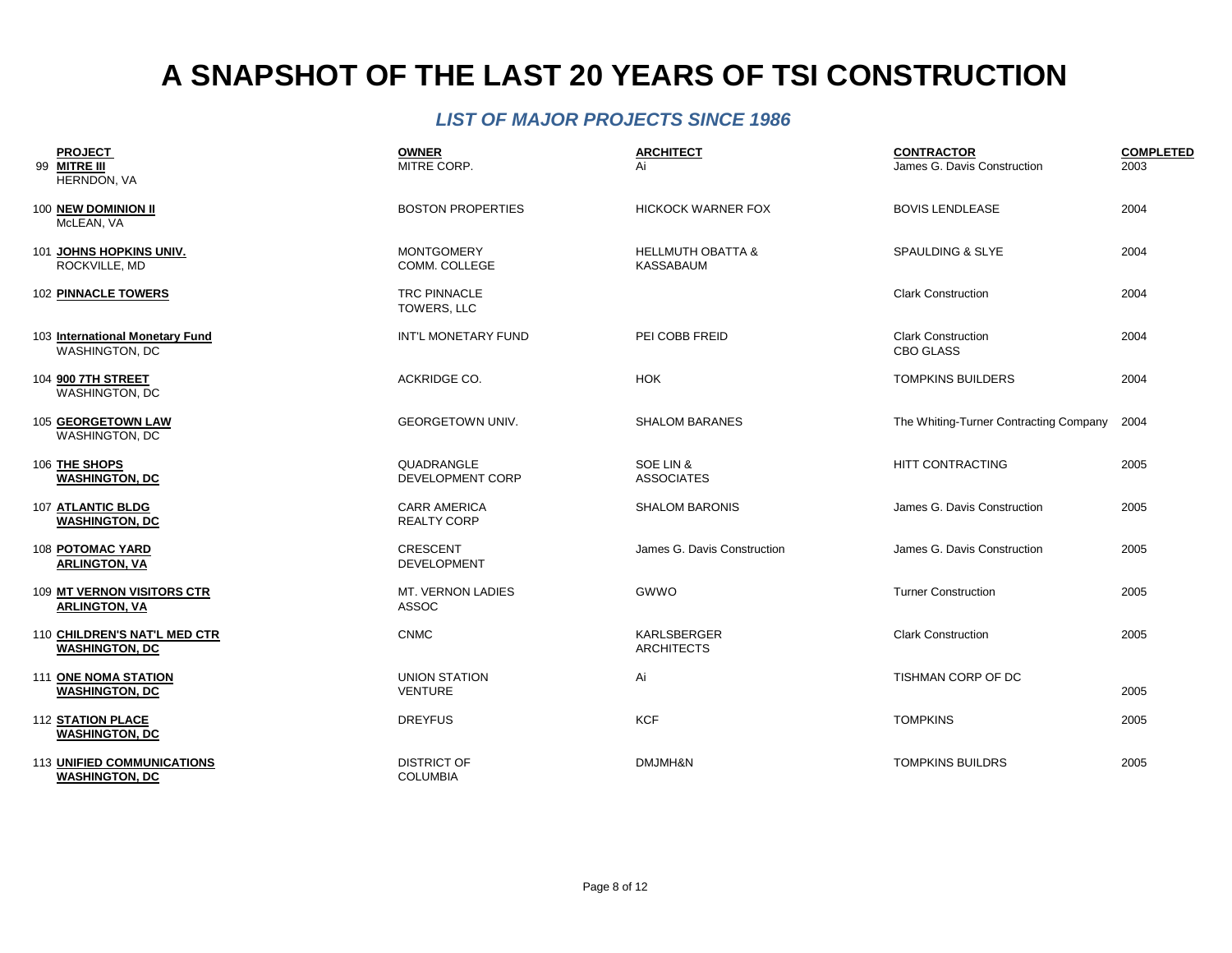| <b>PROJECT</b><br>99 MITRE III<br>HERNDON, VA              | <b>OWNER</b><br>MITRE CORP.               | <b>ARCHITECT</b><br>Ai                           | <b>CONTRACTOR</b><br>James G. Davis Construction | <b>COMPLETED</b><br>2003 |
|------------------------------------------------------------|-------------------------------------------|--------------------------------------------------|--------------------------------------------------|--------------------------|
| 100 NEW DOMINION II<br>McLEAN, VA                          | <b>BOSTON PROPERTIES</b>                  | <b>HICKOCK WARNER FOX</b>                        | <b>BOVIS LENDLEASE</b>                           | 2004                     |
| 101 JOHNS HOPKINS UNIV.<br>ROCKVILLE, MD                   | <b>MONTGOMERY</b><br>COMM. COLLEGE        | <b>HELLMUTH OBATTA &amp;</b><br><b>KASSABAUM</b> | <b>SPAULDING &amp; SLYE</b>                      | 2004                     |
| <b>102 PINNACLE TOWERS</b>                                 | <b>TRC PINNACLE</b><br>TOWERS, LLC        |                                                  | <b>Clark Construction</b>                        | 2004                     |
| 103 International Monetary Fund<br><b>WASHINGTON, DC</b>   | INT'L MONETARY FUND                       | PEI COBB FREID                                   | <b>Clark Construction</b><br>CBO GLASS           | 2004                     |
| 104 900 7TH STREET<br><b>WASHINGTON, DC</b>                | ACKRIDGE CO.                              | <b>HOK</b>                                       | <b>TOMPKINS BUILDERS</b>                         | 2004                     |
| 105 GEORGETOWN LAW<br><b>WASHINGTON, DC</b>                | <b>GEORGETOWN UNIV.</b>                   | <b>SHALOM BARANES</b>                            | The Whiting-Turner Contracting Company           | 2004                     |
| 106 THE SHOPS<br><b>WASHINGTON, DC</b>                     | QUADRANGLE<br>DEVELOPMENT CORP            | SOE LIN &<br><b>ASSOCIATES</b>                   | HITT CONTRACTING                                 | 2005                     |
| 107 ATLANTIC BLDG<br><b>WASHINGTON, DC</b>                 | <b>CARR AMERICA</b><br><b>REALTY CORP</b> | <b>SHALOM BARONIS</b>                            | James G. Davis Construction                      | 2005                     |
| 108 POTOMAC YARD<br><b>ARLINGTON, VA</b>                   | <b>CRESCENT</b><br><b>DEVELOPMENT</b>     | James G. Davis Construction                      | James G. Davis Construction                      | 2005                     |
| 109 MT VERNON VISITORS CTR<br><b>ARLINGTON, VA</b>         | MT. VERNON LADIES<br><b>ASSOC</b>         | GWWO                                             | <b>Turner Construction</b>                       | 2005                     |
| 110 CHILDREN'S NAT'L MED CTR<br><b>WASHINGTON, DC</b>      | <b>CNMC</b>                               | KARLSBERGER<br><b>ARCHITECTS</b>                 | <b>Clark Construction</b>                        | 2005                     |
| 111 ONE NOMA STATION<br><b>WASHINGTON, DC</b>              | <b>UNION STATION</b><br><b>VENTURE</b>    | Ai                                               | TISHMAN CORP OF DC                               | 2005                     |
| <b>112 STATION PLACE</b><br><b>WASHINGTON, DC</b>          | <b>DREYFUS</b>                            | <b>KCF</b>                                       | <b>TOMPKINS</b>                                  | 2005                     |
| <b>113 UNIFIED COMMUNICATIONS</b><br><b>WASHINGTON, DC</b> | <b>DISTRICT OF</b><br><b>COLUMBIA</b>     | DMJMH&N                                          | <b>TOMPKINS BUILDRS</b>                          | 2005                     |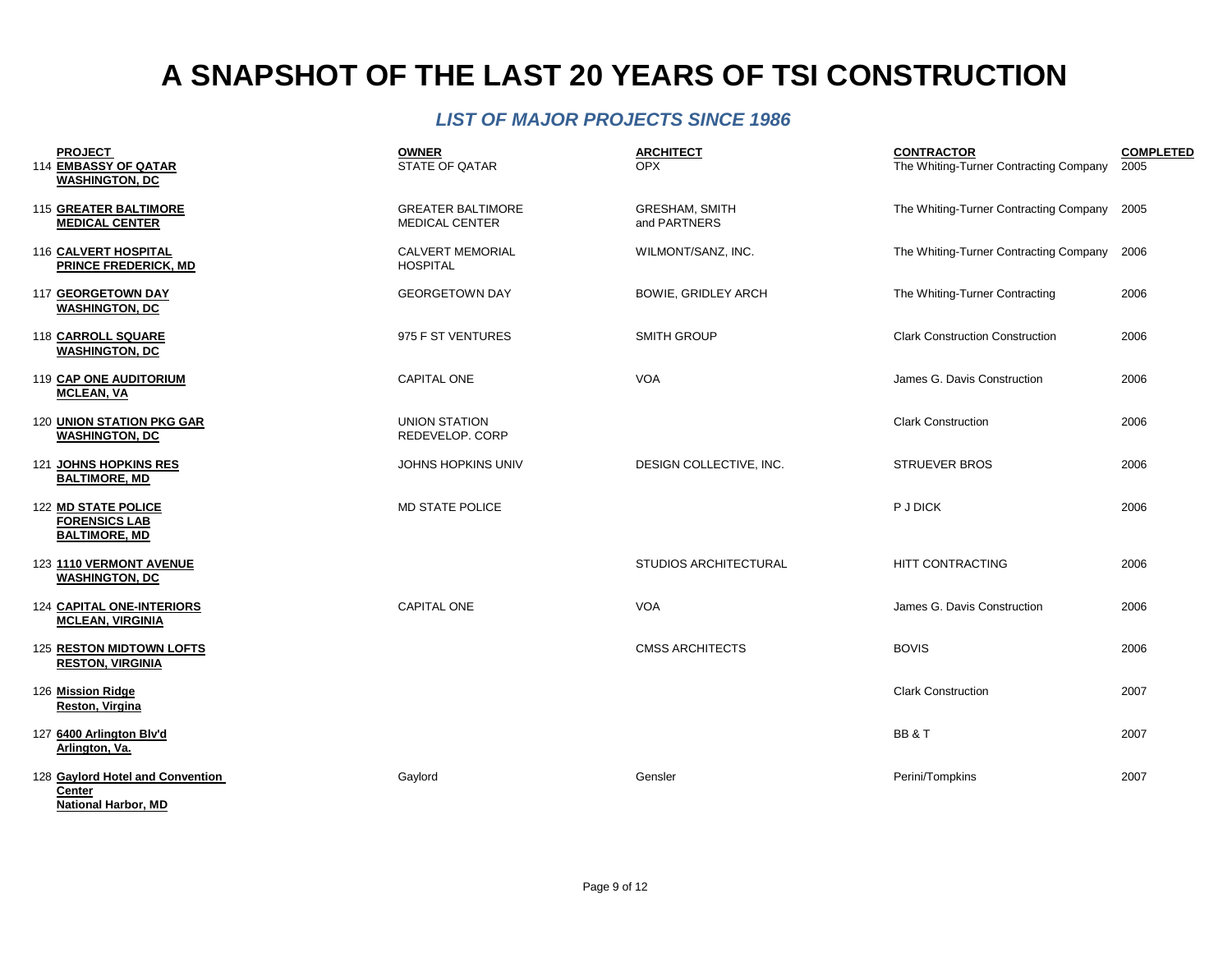| <b>PROJECT</b>                                                           | <b>OWNER</b>                                      | <b>ARCHITECT</b>                      | <b>CONTRACTOR</b>                           | <b>COMPLETED</b> |
|--------------------------------------------------------------------------|---------------------------------------------------|---------------------------------------|---------------------------------------------|------------------|
| 114 EMBASSY OF QATAR<br><b>WASHINGTON, DC</b>                            | <b>STATE OF QATAR</b>                             | <b>OPX</b>                            | The Whiting-Turner Contracting Company      | 2005             |
| <b>115 GREATER BALTIMORE</b><br><b>MEDICAL CENTER</b>                    | <b>GREATER BALTIMORE</b><br><b>MEDICAL CENTER</b> | <b>GRESHAM, SMITH</b><br>and PARTNERS | The Whiting-Turner Contracting Company 2005 |                  |
| 116 CALVERT HOSPITAL<br><b>PRINCE FREDERICK, MD</b>                      | <b>CALVERT MEMORIAL</b><br><b>HOSPITAL</b>        | WILMONT/SANZ, INC.                    | The Whiting-Turner Contracting Company      | 2006             |
| 117 GEORGETOWN DAY<br><b>WASHINGTON, DC</b>                              | <b>GEORGETOWN DAY</b>                             | <b>BOWIE, GRIDLEY ARCH</b>            | The Whiting-Turner Contracting              | 2006             |
| 118 CARROLL SQUARE<br><b>WASHINGTON, DC</b>                              | 975 F ST VENTURES                                 | <b>SMITH GROUP</b>                    | <b>Clark Construction Construction</b>      | 2006             |
| 119 CAP ONE AUDITORIUM<br><b>MCLEAN, VA</b>                              | <b>CAPITAL ONE</b>                                | <b>VOA</b>                            | James G. Davis Construction                 | 2006             |
| 120 UNION STATION PKG GAR<br><b>WASHINGTON, DC</b>                       | <b>UNION STATION</b><br>REDEVELOP. CORP           |                                       | <b>Clark Construction</b>                   | 2006             |
| 121 JOHNS HOPKINS RES<br><b>BALTIMORE, MD</b>                            | JOHNS HOPKINS UNIV                                | DESIGN COLLECTIVE, INC.               | <b>STRUEVER BROS</b>                        | 2006             |
| 122 MD STATE POLICE<br><b>FORENSICS LAB</b><br><b>BALTIMORE, MD</b>      | <b>MD STATE POLICE</b>                            |                                       | <b>P J DICK</b>                             | 2006             |
| 123 1110 VERMONT AVENUE<br><b>WASHINGTON, DC</b>                         |                                                   | <b>STUDIOS ARCHITECTURAL</b>          | <b>HITT CONTRACTING</b>                     | 2006             |
| <b>124 CAPITAL ONE-INTERIORS</b><br><b>MCLEAN, VIRGINIA</b>              | <b>CAPITAL ONE</b>                                | <b>VOA</b>                            | James G. Davis Construction                 | 2006             |
| 125 RESTON MIDTOWN LOFTS<br><b>RESTON, VIRGINIA</b>                      |                                                   | <b>CMSS ARCHITECTS</b>                | <b>BOVIS</b>                                | 2006             |
| 126 Mission Ridge<br>Reston, Virgina                                     |                                                   |                                       | <b>Clark Construction</b>                   | 2007             |
| 127 6400 Arlington Blv'd<br>Arlington, Va.                               |                                                   |                                       | BB&T                                        | 2007             |
| 128 Gaylord Hotel and Convention<br>Center<br><b>National Harbor, MD</b> | Gaylord                                           | Gensler                               | Perini/Tompkins                             | 2007             |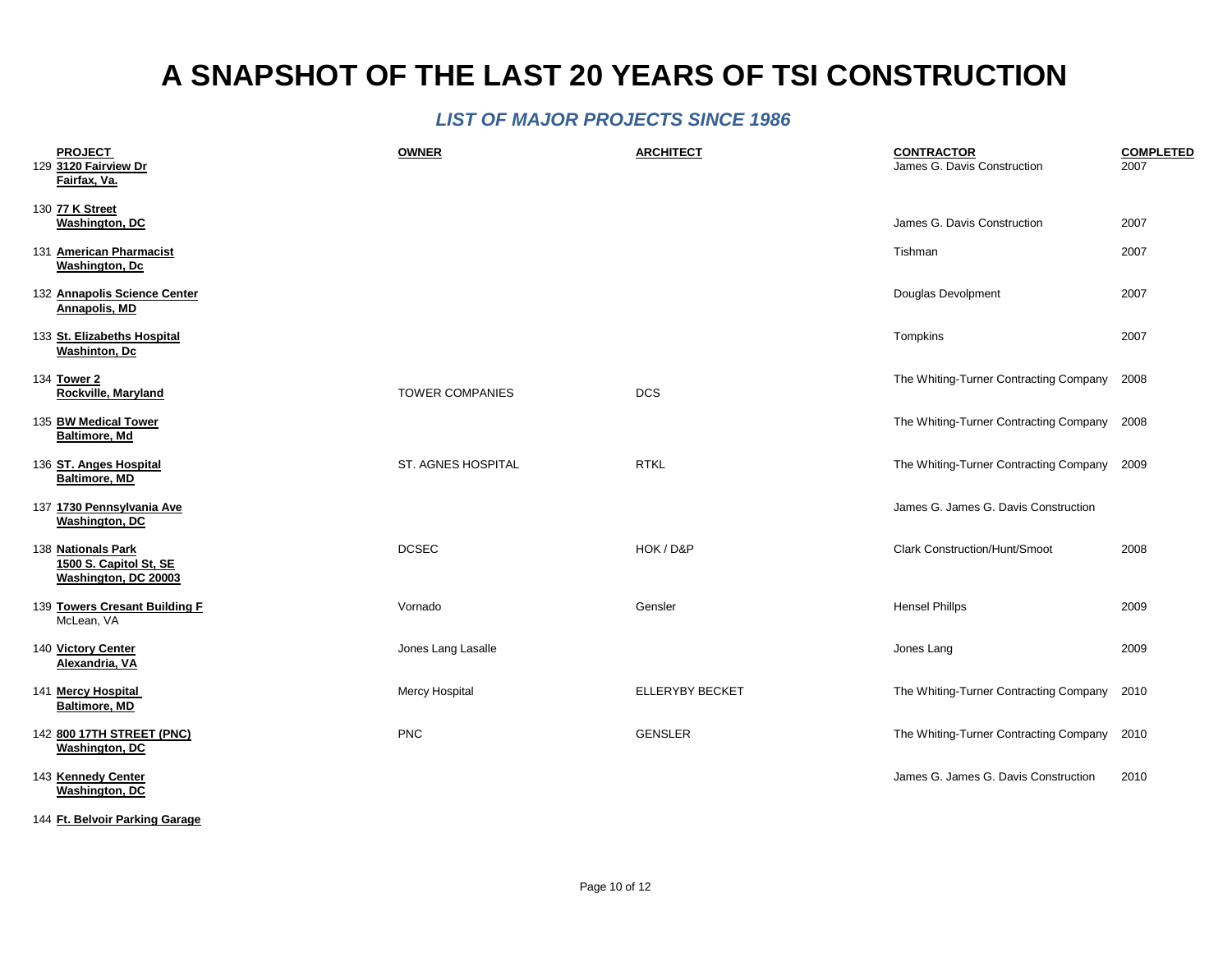#### *LIST OF MAJOR PROJECTS SINCE 1986*

| <b>PROJECT</b><br>129 3120 Fairview Dr<br>Fairfax, Va.               | <b>OWNER</b>           | <b>ARCHITECT</b> | <b>CONTRACTOR</b><br>James G. Davis Construction | <b>COMPLETED</b><br>2007 |
|----------------------------------------------------------------------|------------------------|------------------|--------------------------------------------------|--------------------------|
| 130 77 K Street<br><b>Washington, DC</b>                             |                        |                  | James G. Davis Construction                      | 2007                     |
| 131 American Pharmacist<br><b>Washington, Dc</b>                     |                        |                  | Tishman                                          | 2007                     |
| 132 Annapolis Science Center<br>Annapolis, MD                        |                        |                  | Douglas Devolpment                               | 2007                     |
| 133 St. Elizabeths Hospital<br><b>Washinton</b> , Dc                 |                        |                  | Tompkins                                         | 2007                     |
| 134 Tower 2<br>Rockville, Maryland                                   | <b>TOWER COMPANIES</b> | <b>DCS</b>       | The Whiting-Turner Contracting Company           | 2008                     |
| 135 BW Medical Tower<br><b>Baltimore, Md</b>                         |                        |                  | The Whiting-Turner Contracting Company 2008      |                          |
| 136 ST. Anges Hospital<br><b>Baltimore, MD</b>                       | ST. AGNES HOSPITAL     | <b>RTKL</b>      | The Whiting-Turner Contracting Company 2009      |                          |
| 137 1730 Pennsylvania Ave<br><b>Washington, DC</b>                   |                        |                  | James G. James G. Davis Construction             |                          |
| 138 Nationals Park<br>1500 S. Capitol St, SE<br>Washington, DC 20003 | <b>DCSEC</b>           | HOK / D&P        | <b>Clark Construction/Hunt/Smoot</b>             | 2008                     |
| 139 Towers Cresant Building F<br>McLean, VA                          | Vornado                | Gensler          | <b>Hensel Phillps</b>                            | 2009                     |
| 140 Victory Center<br>Alexandria, VA                                 | Jones Lang Lasalle     |                  | Jones Lang                                       | 2009                     |
| 141 Mercy Hospital<br><b>Baltimore, MD</b>                           | Mercy Hospital         | ELLERYBY BECKET  | The Whiting-Turner Contracting Company           | 2010                     |
| 142 800 17TH STREET (PNC)<br><b>Washington, DC</b>                   | <b>PNC</b>             | <b>GENSLER</b>   | The Whiting-Turner Contracting Company           | 2010                     |
| 143 Kennedy Center<br><b>Washington, DC</b>                          |                        |                  | James G. James G. Davis Construction             | 2010                     |

144 **Ft. Belvoir Parking Garage**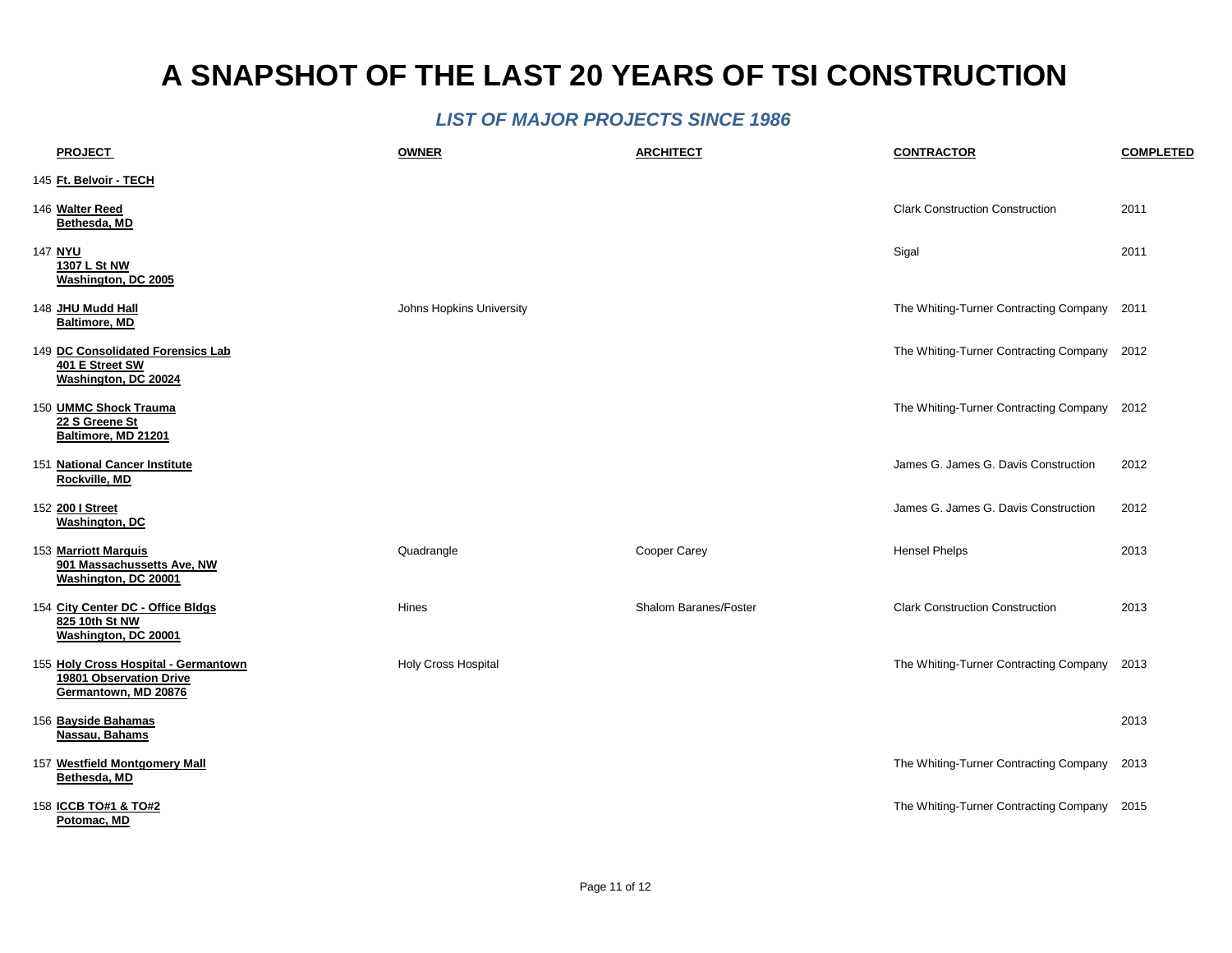| <b>PROJECT</b>                                                                          | <b>OWNER</b>               | <b>ARCHITECT</b>      | <b>CONTRACTOR</b>                           | <b>COMPLETED</b> |
|-----------------------------------------------------------------------------------------|----------------------------|-----------------------|---------------------------------------------|------------------|
| 145 Ft. Belvoir - TECH                                                                  |                            |                       |                                             |                  |
| 146 Walter Reed<br>Bethesda, MD                                                         |                            |                       | <b>Clark Construction Construction</b>      | 2011             |
| 147 NYU<br>1307 L St NW<br>Washington, DC 2005                                          |                            |                       | Sigal                                       | 2011             |
| 148 JHU Mudd Hall<br><b>Baltimore, MD</b>                                               | Johns Hopkins University   |                       | The Whiting-Turner Contracting Company 2011 |                  |
| 149 DC Consolidated Forensics Lab<br>401 E Street SW<br>Washington, DC 20024            |                            |                       | The Whiting-Turner Contracting Company 2012 |                  |
| 150 UMMC Shock Trauma<br>22 S Greene St<br>Baltimore, MD 21201                          |                            |                       | The Whiting-Turner Contracting Company 2012 |                  |
| 151 National Cancer Institute<br>Rockville, MD                                          |                            |                       | James G. James G. Davis Construction        | 2012             |
| 152 200   Street<br><b>Washington, DC</b>                                               |                            |                       | James G. James G. Davis Construction        | 2012             |
| 153 Marriott Marquis<br>901 Massachussetts Ave, NW<br>Washington, DC 20001              | Quadrangle                 | Cooper Carey          | <b>Hensel Phelps</b>                        | 2013             |
| 154 City Center DC - Office Bldgs<br>825 10th St NW<br>Washington, DC 20001             | Hines                      | Shalom Baranes/Foster | <b>Clark Construction Construction</b>      | 2013             |
| 155 Holy Cross Hospital - Germantown<br>19801 Observation Drive<br>Germantown, MD 20876 | <b>Holy Cross Hospital</b> |                       | The Whiting-Turner Contracting Company      | 2013             |
| 156 Bayside Bahamas<br>Nassau, Bahams                                                   |                            |                       |                                             | 2013             |
| 157 Westfield Montgomery Mall<br>Bethesda, MD                                           |                            |                       | The Whiting-Turner Contracting Company 2013 |                  |
| 158 ICCB TO#1 & TO#2<br>Potomac, MD                                                     |                            |                       | The Whiting-Turner Contracting Company 2015 |                  |